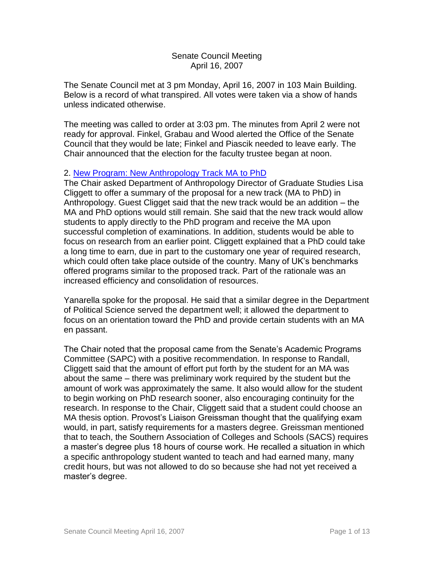### Senate Council Meeting April 16, 2007

The Senate Council met at 3 pm Monday, April 16, 2007 in 103 Main Building. Below is a record of what transpired. All votes were taken via a show of hands unless indicated otherwise.

The meeting was called to order at 3:03 pm. The minutes from April 2 were not ready for approval. Finkel, Grabau and Wood alerted the Office of the Senate Council that they would be late; Finkel and Piascik needed to leave early. The Chair announced that the election for the faculty trustee began at noon.

#### 2. [New Program: New Anthropology Track MA to PhD](http://www.uky.edu/USC/New/files/20070416/Anthropology-new%20track%20MA%20to%20PhD%20-%20New%20Prog_Complete.pdf)

The Chair asked Department of Anthropology Director of Graduate Studies Lisa Cliggett to offer a summary of the proposal for a new track (MA to PhD) in Anthropology. Guest Cligget said that the new track would be an addition – the MA and PhD options would still remain. She said that the new track would allow students to apply directly to the PhD program and receive the MA upon successful completion of examinations. In addition, students would be able to focus on research from an earlier point. Cliggett explained that a PhD could take a long time to earn, due in part to the customary one year of required research, which could often take place outside of the country. Many of UK's benchmarks offered programs similar to the proposed track. Part of the rationale was an increased efficiency and consolidation of resources.

Yanarella spoke for the proposal. He said that a similar degree in the Department of Political Science served the department well; it allowed the department to focus on an orientation toward the PhD and provide certain students with an MA en passant.

The Chair noted that the proposal came from the Senate's Academic Programs Committee (SAPC) with a positive recommendation. In response to Randall, Cliggett said that the amount of effort put forth by the student for an MA was about the same – there was preliminary work required by the student but the amount of work was approximately the same. It also would allow for the student to begin working on PhD research sooner, also encouraging continuity for the research. In response to the Chair, Cliggett said that a student could choose an MA thesis option. Provost's Liaison Greissman thought that the qualifying exam would, in part, satisfy requirements for a masters degree. Greissman mentioned that to teach, the Southern Association of Colleges and Schools (SACS) requires a master's degree plus 18 hours of course work. He recalled a situation in which a specific anthropology student wanted to teach and had earned many, many credit hours, but was not allowed to do so because she had not yet received a master's degree.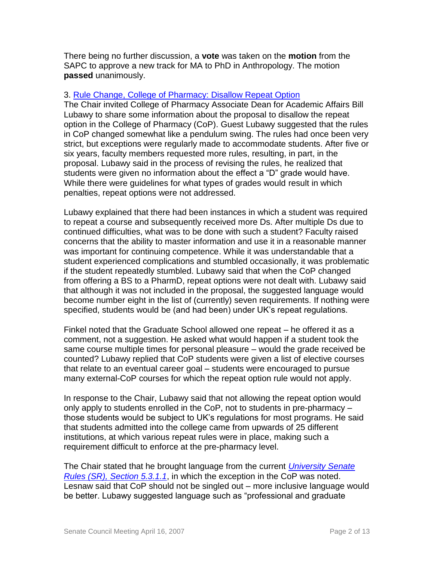There being no further discussion, a **vote** was taken on the **motion** from the SAPC to approve a new track for MA to PhD in Anthropology. The motion **passed** unanimously.

### 3. [Rule Change, College of Pharmacy: Disallow Repeat Option](http://www.uky.edu/USC/New/files/20070416/Col%20Pharmacy%20Repeat%20Rules%20Change_Complete.pdf)

The Chair invited College of Pharmacy Associate Dean for Academic Affairs Bill Lubawy to share some information about the proposal to disallow the repeat option in the College of Pharmacy (CoP). Guest Lubawy suggested that the rules in CoP changed somewhat like a pendulum swing. The rules had once been very strict, but exceptions were regularly made to accommodate students. After five or six years, faculty members requested more rules, resulting, in part, in the proposal. Lubawy said in the process of revising the rules, he realized that students were given no information about the effect a "D" grade would have. While there were guidelines for what types of grades would result in which penalties, repeat options were not addressed.

Lubawy explained that there had been instances in which a student was required to repeat a course and subsequently received more Ds. After multiple Ds due to continued difficulties, what was to be done with such a student? Faculty raised concerns that the ability to master information and use it in a reasonable manner was important for continuing competence. While it was understandable that a student experienced complications and stumbled occasionally, it was problematic if the student repeatedly stumbled. Lubawy said that when the CoP changed from offering a BS to a PharmD, repeat options were not dealt with. Lubawy said that although it was not included in the proposal, the suggested language would become number eight in the list of (currently) seven requirements. If nothing were specified, students would be (and had been) under UK's repeat regulations.

Finkel noted that the Graduate School allowed one repeat – he offered it as a comment, not a suggestion. He asked what would happen if a student took the same course multiple times for personal pleasure – would the grade received be counted? Lubawy replied that CoP students were given a list of elective courses that relate to an eventual career goal – students were encouraged to pursue many external-CoP courses for which the repeat option rule would not apply.

In response to the Chair, Lubawy said that not allowing the repeat option would only apply to students enrolled in the CoP, not to students in pre-pharmacy – those students would be subject to UK's regulations for most programs. He said that students admitted into the college came from upwards of 25 different institutions, at which various repeat rules were in place, making such a requirement difficult to enforce at the pre-pharmacy level.

The Chair stated that he brought language from the current *[University Senate](http://www.uky.edu/USC/New/files/20070416/SR%205-3-0%20Repeat%20Option.pdf)  [Rules \(SR\), Section 5.3.1.1](http://www.uky.edu/USC/New/files/20070416/SR%205-3-0%20Repeat%20Option.pdf)*, in which the exception in the CoP was noted. Lesnaw said that CoP should not be singled out – more inclusive language would be better. Lubawy suggested language such as "professional and graduate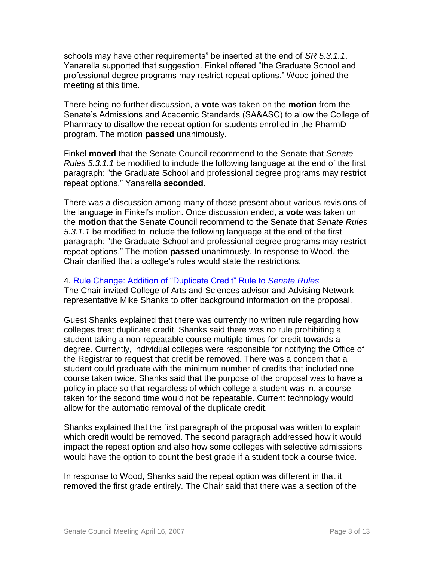schools may have other requirements" be inserted at the end of *SR 5.3.1.1*. Yanarella supported that suggestion. Finkel offered "the Graduate School and professional degree programs may restrict repeat options." Wood joined the meeting at this time.

There being no further discussion, a **vote** was taken on the **motion** from the Senate's Admissions and Academic Standards (SA&ASC) to allow the College of Pharmacy to disallow the repeat option for students enrolled in the PharmD program. The motion **passed** unanimously.

Finkel **moved** that the Senate Council recommend to the Senate that *Senate Rules 5.3.1.1* be modified to include the following language at the end of the first paragraph: "the Graduate School and professional degree programs may restrict repeat options." Yanarella **seconded**.

There was a discussion among many of those present about various revisions of the language in Finkel's motion. Once discussion ended, a **vote** was taken on the **motion** that the Senate Council recommend to the Senate that *Senate Rules 5.3.1.1* be modified to include the following language at the end of the first paragraph: "the Graduate School and professional degree programs may restrict repeat options." The motion **passed** unanimously. In response to Wood, the Chair clarified that a college's rules would state the restrictions.

#### 4. [Rule Change: Addition of "Duplicate Credit" Rule to](http://www.uky.edu/USC/New/files/20070416/Dup%20Credit%20Proposal_Complete.pdf) *Senate Rules*

The Chair invited College of Arts and Sciences advisor and Advising Network representative Mike Shanks to offer background information on the proposal.

Guest Shanks explained that there was currently no written rule regarding how colleges treat duplicate credit. Shanks said there was no rule prohibiting a student taking a non-repeatable course multiple times for credit towards a degree. Currently, individual colleges were responsible for notifying the Office of the Registrar to request that credit be removed. There was a concern that a student could graduate with the minimum number of credits that included one course taken twice. Shanks said that the purpose of the proposal was to have a policy in place so that regardless of which college a student was in, a course taken for the second time would not be repeatable. Current technology would allow for the automatic removal of the duplicate credit.

Shanks explained that the first paragraph of the proposal was written to explain which credit would be removed. The second paragraph addressed how it would impact the repeat option and also how some colleges with selective admissions would have the option to count the best grade if a student took a course twice.

In response to Wood, Shanks said the repeat option was different in that it removed the first grade entirely. The Chair said that there was a section of the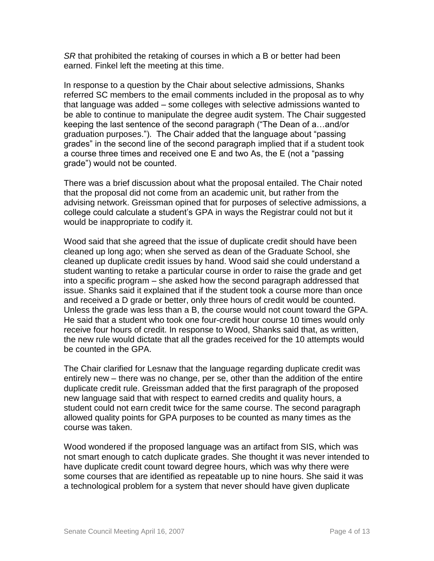*SR* that prohibited the retaking of courses in which a B or better had been earned. Finkel left the meeting at this time.

In response to a question by the Chair about selective admissions, Shanks referred SC members to the email comments included in the proposal as to why that language was added – some colleges with selective admissions wanted to be able to continue to manipulate the degree audit system. The Chair suggested keeping the last sentence of the second paragraph ("The Dean of a…and/or graduation purposes."). The Chair added that the language about "passing grades" in the second line of the second paragraph implied that if a student took a course three times and received one E and two As, the E (not a "passing grade") would not be counted.

There was a brief discussion about what the proposal entailed. The Chair noted that the proposal did not come from an academic unit, but rather from the advising network. Greissman opined that for purposes of selective admissions, a college could calculate a student's GPA in ways the Registrar could not but it would be inappropriate to codify it.

Wood said that she agreed that the issue of duplicate credit should have been cleaned up long ago; when she served as dean of the Graduate School, she cleaned up duplicate credit issues by hand. Wood said she could understand a student wanting to retake a particular course in order to raise the grade and get into a specific program – she asked how the second paragraph addressed that issue. Shanks said it explained that if the student took a course more than once and received a D grade or better, only three hours of credit would be counted. Unless the grade was less than a B, the course would not count toward the GPA. He said that a student who took one four-credit hour course 10 times would only receive four hours of credit. In response to Wood, Shanks said that, as written, the new rule would dictate that all the grades received for the 10 attempts would be counted in the GPA.

The Chair clarified for Lesnaw that the language regarding duplicate credit was entirely new – there was no change, per se, other than the addition of the entire duplicate credit rule. Greissman added that the first paragraph of the proposed new language said that with respect to earned credits and quality hours, a student could not earn credit twice for the same course. The second paragraph allowed quality points for GPA purposes to be counted as many times as the course was taken.

Wood wondered if the proposed language was an artifact from SIS, which was not smart enough to catch duplicate grades. She thought it was never intended to have duplicate credit count toward degree hours, which was why there were some courses that are identified as repeatable up to nine hours. She said it was a technological problem for a system that never should have given duplicate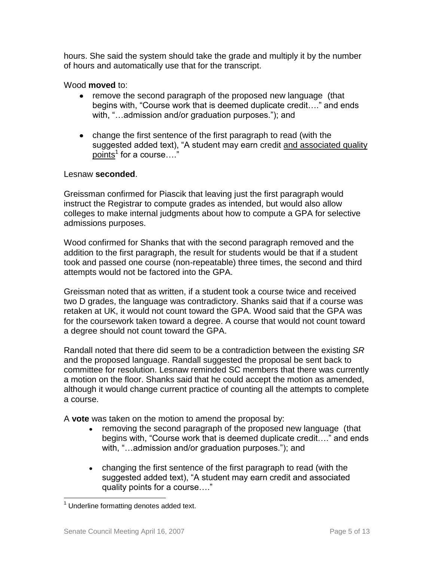hours. She said the system should take the grade and multiply it by the number of hours and automatically use that for the transcript.

Wood **moved** to:

- remove the second paragraph of the proposed new language (that begins with, "Course work that is deemed duplicate credit…." and ends with, "…admission and/or graduation purposes."); and
- change the first sentence of the first paragraph to read (with the suggested added text), "A student may earn credit and associated quality points<sup>1</sup> for a course...."

# Lesnaw **seconded**.

Greissman confirmed for Piascik that leaving just the first paragraph would instruct the Registrar to compute grades as intended, but would also allow colleges to make internal judgments about how to compute a GPA for selective admissions purposes.

Wood confirmed for Shanks that with the second paragraph removed and the addition to the first paragraph, the result for students would be that if a student took and passed one course (non-repeatable) three times, the second and third attempts would not be factored into the GPA.

Greissman noted that as written, if a student took a course twice and received two D grades, the language was contradictory. Shanks said that if a course was retaken at UK, it would not count toward the GPA. Wood said that the GPA was for the coursework taken toward a degree. A course that would not count toward a degree should not count toward the GPA.

Randall noted that there did seem to be a contradiction between the existing *SR*  and the proposed language. Randall suggested the proposal be sent back to committee for resolution. Lesnaw reminded SC members that there was currently a motion on the floor. Shanks said that he could accept the motion as amended, although it would change current practice of counting all the attempts to complete a course.

A **vote** was taken on the motion to amend the proposal by:

- removing the second paragraph of the proposed new language (that  $\bullet$ begins with, "Course work that is deemed duplicate credit…." and ends with, "…admission and/or graduation purposes."); and
- changing the first sentence of the first paragraph to read (with the  $\bullet$ suggested added text), "A student may earn credit and associated quality points for a course…."

 $\overline{a}$  $1$  Underline formatting denotes added text.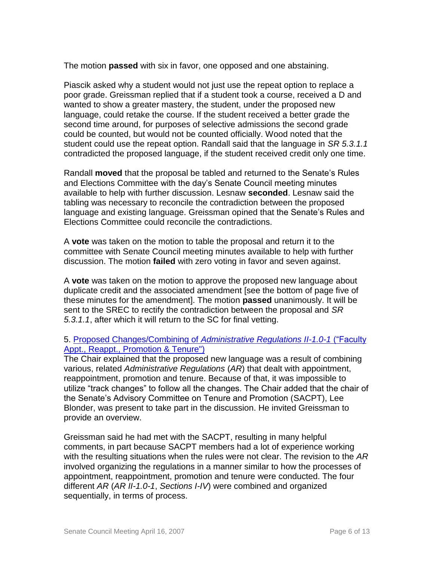The motion **passed** with six in favor, one opposed and one abstaining.

Piascik asked why a student would not just use the repeat option to replace a poor grade. Greissman replied that if a student took a course, received a D and wanted to show a greater mastery, the student, under the proposed new language, could retake the course. If the student received a better grade the second time around, for purposes of selective admissions the second grade could be counted, but would not be counted officially. Wood noted that the student could use the repeat option. Randall said that the language in *SR 5.3.1.1* contradicted the proposed language, if the student received credit only one time.

Randall **moved** that the proposal be tabled and returned to the Senate's Rules and Elections Committee with the day's Senate Council meeting minutes available to help with further discussion. Lesnaw **seconded**. Lesnaw said the tabling was necessary to reconcile the contradiction between the proposed language and existing language. Greissman opined that the Senate's Rules and Elections Committee could reconcile the contradictions.

A **vote** was taken on the motion to table the proposal and return it to the committee with Senate Council meeting minutes available to help with further discussion. The motion **failed** with zero voting in favor and seven against.

A **vote** was taken on the motion to approve the proposed new language about duplicate credit and the associated amendment [see the bottom of page five of these minutes for the amendment]. The motion **passed** unanimously. It will be sent to the SREC to rectify the contradiction between the proposal and *SR 5.3.1.1*, after which it will return to the SC for final vetting.

# 5. Proposed Changes/Combining of *[Administrative Regulations II-1.0-1](http://www.uky.edu/USC/New/files/20070416/AR%20II-1%200-1%20-%20Combined%20Pages%20I-IV%20_FINAL__KAT.pdf)* ("Faculty [Appt., Reappt., Promotion & Tenure"\)](http://www.uky.edu/USC/New/files/20070416/AR%20II-1%200-1%20-%20Combined%20Pages%20I-IV%20_FINAL__KAT.pdf)

The Chair explained that the proposed new language was a result of combining various, related *Administrative Regulations* (*AR*) that dealt with appointment, reappointment, promotion and tenure. Because of that, it was impossible to utilize "track changes" to follow all the changes. The Chair added that the chair of the Senate's Advisory Committee on Tenure and Promotion (SACPT), Lee Blonder, was present to take part in the discussion. He invited Greissman to provide an overview.

Greissman said he had met with the SACPT, resulting in many helpful comments, in part because SACPT members had a lot of experience working with the resulting situations when the rules were not clear. The revision to the *AR* involved organizing the regulations in a manner similar to how the processes of appointment, reappointment, promotion and tenure were conducted. The four different *AR* (*AR II-1.0-1*, *Sections I-IV*) were combined and organized sequentially, in terms of process.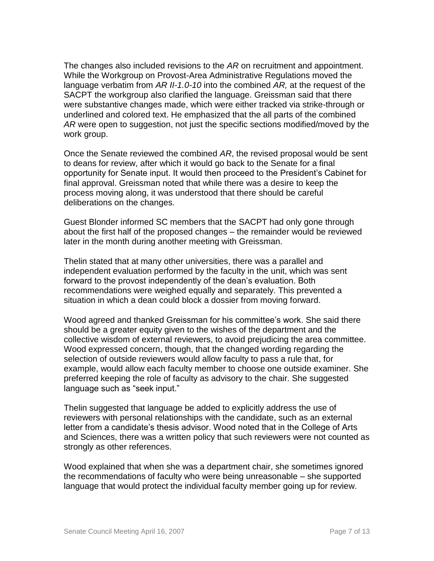The changes also included revisions to the *AR* on recruitment and appointment. While the Workgroup on Provost-Area Administrative Regulations moved the language verbatim from *AR II-1.0-10* into the combined *AR,* at the request of the SACPT the workgroup also clarified the language. Greissman said that there were substantive changes made, which were either tracked via strike-through or underlined and colored text. He emphasized that the all parts of the combined *AR* were open to suggestion, not just the specific sections modified/moved by the work group.

Once the Senate reviewed the combined *AR*, the revised proposal would be sent to deans for review, after which it would go back to the Senate for a final opportunity for Senate input. It would then proceed to the President's Cabinet for final approval. Greissman noted that while there was a desire to keep the process moving along, it was understood that there should be careful deliberations on the changes.

Guest Blonder informed SC members that the SACPT had only gone through about the first half of the proposed changes – the remainder would be reviewed later in the month during another meeting with Greissman.

Thelin stated that at many other universities, there was a parallel and independent evaluation performed by the faculty in the unit, which was sent forward to the provost independently of the dean's evaluation. Both recommendations were weighed equally and separately. This prevented a situation in which a dean could block a dossier from moving forward.

Wood agreed and thanked Greissman for his committee's work. She said there should be a greater equity given to the wishes of the department and the collective wisdom of external reviewers, to avoid prejudicing the area committee. Wood expressed concern, though, that the changed wording regarding the selection of outside reviewers would allow faculty to pass a rule that, for example, would allow each faculty member to choose one outside examiner. She preferred keeping the role of faculty as advisory to the chair. She suggested language such as "seek input."

Thelin suggested that language be added to explicitly address the use of reviewers with personal relationships with the candidate, such as an external letter from a candidate's thesis advisor. Wood noted that in the College of Arts and Sciences, there was a written policy that such reviewers were not counted as strongly as other references.

Wood explained that when she was a department chair, she sometimes ignored the recommendations of faculty who were being unreasonable – she supported language that would protect the individual faculty member going up for review.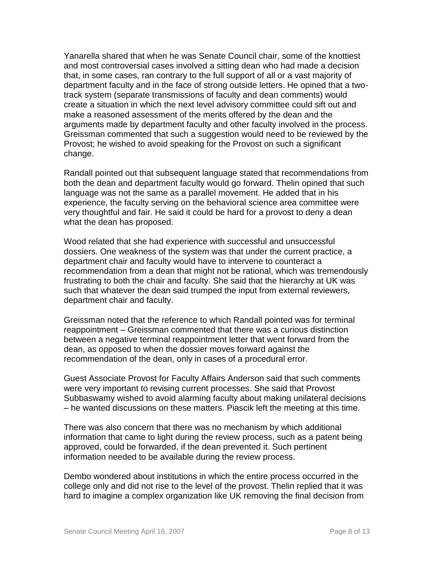Yanarella shared that when he was Senate Council chair, some of the knottiest and most controversial cases involved a sitting dean who had made a decision that, in some cases, ran contrary to the full support of all or a vast majority of department faculty and in the face of strong outside letters. He opined that a twotrack system (separate transmissions of faculty and dean comments) would create a situation in which the next level advisory committee could sift out and make a reasoned assessment of the merits offered by the dean and the arguments made by department faculty and other faculty involved in the process. Greissman commented that such a suggestion would need to be reviewed by the Provost; he wished to avoid speaking for the Provost on such a significant change.

Randall pointed out that subsequent language stated that recommendations from both the dean and department faculty would go forward. Thelin opined that such language was not the same as a parallel movement. He added that in his experience, the faculty serving on the behavioral science area committee were very thoughtful and fair. He said it could be hard for a provost to deny a dean what the dean has proposed.

Wood related that she had experience with successful and unsuccessful dossiers. One weakness of the system was that under the current practice, a department chair and faculty would have to intervene to counteract a recommendation from a dean that might not be rational, which was tremendously frustrating to both the chair and faculty. She said that the hierarchy at UK was such that whatever the dean said trumped the input from external reviewers, department chair and faculty.

Greissman noted that the reference to which Randall pointed was for terminal reappointment – Greissman commented that there was a curious distinction between a negative terminal reappointment letter that went forward from the dean, as opposed to when the dossier moves forward against the recommendation of the dean, only in cases of a procedural error.

Guest Associate Provost for Faculty Affairs Anderson said that such comments were very important to revising current processes. She said that Provost Subbaswamy wished to avoid alarming faculty about making unilateral decisions – he wanted discussions on these matters. Piascik left the meeting at this time.

There was also concern that there was no mechanism by which additional information that came to light during the review process, such as a patent being approved, could be forwarded, if the dean prevented it. Such pertinent information needed to be available during the review process.

Dembo wondered about institutions in which the entire process occurred in the college only and did not rise to the level of the provost. Thelin replied that it was hard to imagine a complex organization like UK removing the final decision from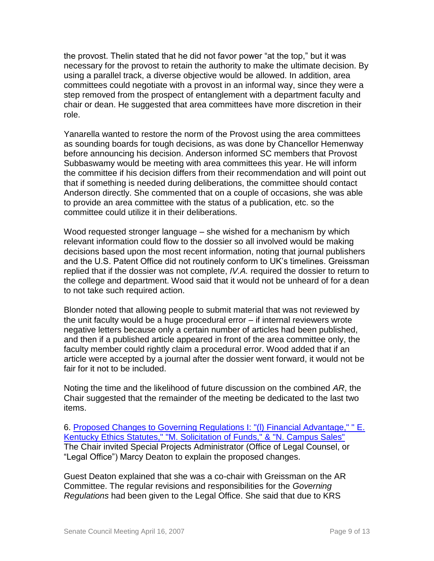the provost. Thelin stated that he did not favor power "at the top," but it was necessary for the provost to retain the authority to make the ultimate decision. By using a parallel track, a diverse objective would be allowed. In addition, area committees could negotiate with a provost in an informal way, since they were a step removed from the prospect of entanglement with a department faculty and chair or dean. He suggested that area committees have more discretion in their role.

Yanarella wanted to restore the norm of the Provost using the area committees as sounding boards for tough decisions, as was done by Chancellor Hemenway before announcing his decision. Anderson informed SC members that Provost Subbaswamy would be meeting with area committees this year. He will inform the committee if his decision differs from their recommendation and will point out that if something is needed during deliberations, the committee should contact Anderson directly. She commented that on a couple of occasions, she was able to provide an area committee with the status of a publication, etc. so the committee could utilize it in their deliberations.

Wood requested stronger language – she wished for a mechanism by which relevant information could flow to the dossier so all involved would be making decisions based upon the most recent information, noting that journal publishers and the U.S. Patent Office did not routinely conform to UK's timelines. Greissman replied that if the dossier was not complete, *IV.A.* required the dossier to return to the college and department. Wood said that it would not be unheard of for a dean to not take such required action.

Blonder noted that allowing people to submit material that was not reviewed by the unit faculty would be a huge procedural error – if internal reviewers wrote negative letters because only a certain number of articles had been published, and then if a published article appeared in front of the area committee only, the faculty member could rightly claim a procedural error. Wood added that if an article were accepted by a journal after the dossier went forward, it would not be fair for it not to be included.

Noting the time and the likelihood of future discussion on the combined *AR*, the Chair suggested that the remainder of the meeting be dedicated to the last two items.

6. [Proposed Changes to Governing Regulations I: "\(l\) Financial Advantage," " E.](http://www.uky.edu/USC/New/files/20070416/GR%20I%20Fincl%20Advtg%20&%20Campus%20Sales_Complete.pdf)  [Kentucky Ethics Statutes," "M. Solicitation of Funds," & "N. Campus Sales"](http://www.uky.edu/USC/New/files/20070416/GR%20I%20Fincl%20Advtg%20&%20Campus%20Sales_Complete.pdf) The Chair invited Special Projects Administrator (Office of Legal Counsel, or "Legal Office") Marcy Deaton to explain the proposed changes.

Guest Deaton explained that she was a co-chair with Greissman on the AR Committee. The regular revisions and responsibilities for the *Governing Regulations* had been given to the Legal Office. She said that due to KRS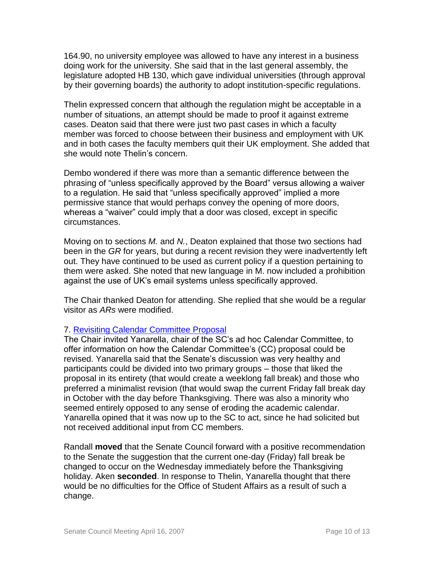164.90, no university employee was allowed to have any interest in a business doing work for the university. She said that in the last general assembly, the legislature adopted HB 130, which gave individual universities (through approval by their governing boards) the authority to adopt institution-specific regulations.

Thelin expressed concern that although the regulation might be acceptable in a number of situations, an attempt should be made to proof it against extreme cases. Deaton said that there were just two past cases in which a faculty member was forced to choose between their business and employment with UK and in both cases the faculty members quit their UK employment. She added that she would note Thelin's concern.

Dembo wondered if there was more than a semantic difference between the phrasing of "unless specifically approved by the Board" versus allowing a waiver to a regulation. He said that "unless specifically approved" implied a more permissive stance that would perhaps convey the opening of more doors, whereas a "waiver" could imply that a door was closed, except in specific circumstances.

Moving on to sections *M.* and *N.*, Deaton explained that those two sections had been in the *GR* for years, but during a recent revision they were inadvertently left out. They have continued to be used as current policy if a question pertaining to them were asked. She noted that new language in M. now included a prohibition against the use of UK's email systems unless specifically approved.

The Chair thanked Deaton for attending. She replied that she would be a regular visitor as *ARs* were modified.

# 7. [Revisiting Calendar Committee Proposal](http://www.uky.edu/USC/New/files/20070416/Cal%20Cmte%20Final%20+%20Senate%20Comments.pdf)

The Chair invited Yanarella, chair of the SC's ad hoc Calendar Committee, to offer information on how the Calendar Committee's (CC) proposal could be revised. Yanarella said that the Senate's discussion was very healthy and participants could be divided into two primary groups – those that liked the proposal in its entirety (that would create a weeklong fall break) and those who preferred a minimalist revision (that would swap the current Friday fall break day in October with the day before Thanksgiving. There was also a minority who seemed entirely opposed to any sense of eroding the academic calendar. Yanarella opined that it was now up to the SC to act, since he had solicited but not received additional input from CC members.

Randall **moved** that the Senate Council forward with a positive recommendation to the Senate the suggestion that the current one-day (Friday) fall break be changed to occur on the Wednesday immediately before the Thanksgiving holiday. Aken **seconded**. In response to Thelin, Yanarella thought that there would be no difficulties for the Office of Student Affairs as a result of such a change.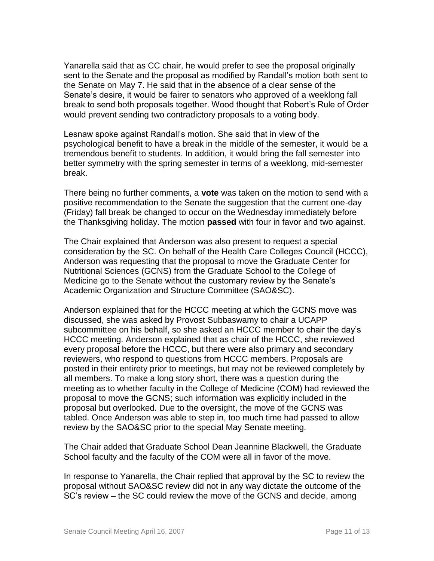Yanarella said that as CC chair, he would prefer to see the proposal originally sent to the Senate and the proposal as modified by Randall's motion both sent to the Senate on May 7. He said that in the absence of a clear sense of the Senate's desire, it would be fairer to senators who approved of a weeklong fall break to send both proposals together. Wood thought that Robert's Rule of Order would prevent sending two contradictory proposals to a voting body.

Lesnaw spoke against Randall's motion. She said that in view of the psychological benefit to have a break in the middle of the semester, it would be a tremendous benefit to students. In addition, it would bring the fall semester into better symmetry with the spring semester in terms of a weeklong, mid-semester break.

There being no further comments, a **vote** was taken on the motion to send with a positive recommendation to the Senate the suggestion that the current one-day (Friday) fall break be changed to occur on the Wednesday immediately before the Thanksgiving holiday. The motion **passed** with four in favor and two against.

The Chair explained that Anderson was also present to request a special consideration by the SC. On behalf of the Health Care Colleges Council (HCCC), Anderson was requesting that the proposal to move the Graduate Center for Nutritional Sciences (GCNS) from the Graduate School to the College of Medicine go to the Senate without the customary review by the Senate's Academic Organization and Structure Committee (SAO&SC).

Anderson explained that for the HCCC meeting at which the GCNS move was discussed, she was asked by Provost Subbaswamy to chair a UCAPP subcommittee on his behalf, so she asked an HCCC member to chair the day's HCCC meeting. Anderson explained that as chair of the HCCC, she reviewed every proposal before the HCCC, but there were also primary and secondary reviewers, who respond to questions from HCCC members. Proposals are posted in their entirety prior to meetings, but may not be reviewed completely by all members. To make a long story short, there was a question during the meeting as to whether faculty in the College of Medicine (COM) had reviewed the proposal to move the GCNS; such information was explicitly included in the proposal but overlooked. Due to the oversight, the move of the GCNS was tabled. Once Anderson was able to step in, too much time had passed to allow review by the SAO&SC prior to the special May Senate meeting.

The Chair added that Graduate School Dean Jeannine Blackwell, the Graduate School faculty and the faculty of the COM were all in favor of the move.

In response to Yanarella, the Chair replied that approval by the SC to review the proposal without SAO&SC review did not in any way dictate the outcome of the SC's review – the SC could review the move of the GCNS and decide, among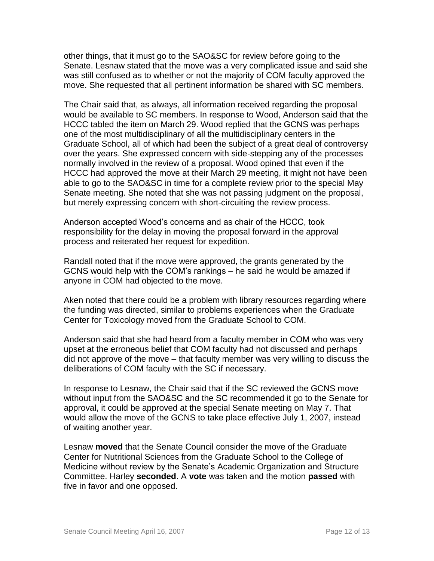other things, that it must go to the SAO&SC for review before going to the Senate. Lesnaw stated that the move was a very complicated issue and said she was still confused as to whether or not the majority of COM faculty approved the move. She requested that all pertinent information be shared with SC members.

The Chair said that, as always, all information received regarding the proposal would be available to SC members. In response to Wood, Anderson said that the HCCC tabled the item on March 29. Wood replied that the GCNS was perhaps one of the most multidisciplinary of all the multidisciplinary centers in the Graduate School, all of which had been the subject of a great deal of controversy over the years. She expressed concern with side-stepping any of the processes normally involved in the review of a proposal. Wood opined that even if the HCCC had approved the move at their March 29 meeting, it might not have been able to go to the SAO&SC in time for a complete review prior to the special May Senate meeting. She noted that she was not passing judgment on the proposal, but merely expressing concern with short-circuiting the review process.

Anderson accepted Wood's concerns and as chair of the HCCC, took responsibility for the delay in moving the proposal forward in the approval process and reiterated her request for expedition.

Randall noted that if the move were approved, the grants generated by the GCNS would help with the COM's rankings – he said he would be amazed if anyone in COM had objected to the move.

Aken noted that there could be a problem with library resources regarding where the funding was directed, similar to problems experiences when the Graduate Center for Toxicology moved from the Graduate School to COM.

Anderson said that she had heard from a faculty member in COM who was very upset at the erroneous belief that COM faculty had not discussed and perhaps did not approve of the move – that faculty member was very willing to discuss the deliberations of COM faculty with the SC if necessary.

In response to Lesnaw, the Chair said that if the SC reviewed the GCNS move without input from the SAO&SC and the SC recommended it go to the Senate for approval, it could be approved at the special Senate meeting on May 7. That would allow the move of the GCNS to take place effective July 1, 2007, instead of waiting another year.

Lesnaw **moved** that the Senate Council consider the move of the Graduate Center for Nutritional Sciences from the Graduate School to the College of Medicine without review by the Senate's Academic Organization and Structure Committee. Harley **seconded**. A **vote** was taken and the motion **passed** with five in favor and one opposed.